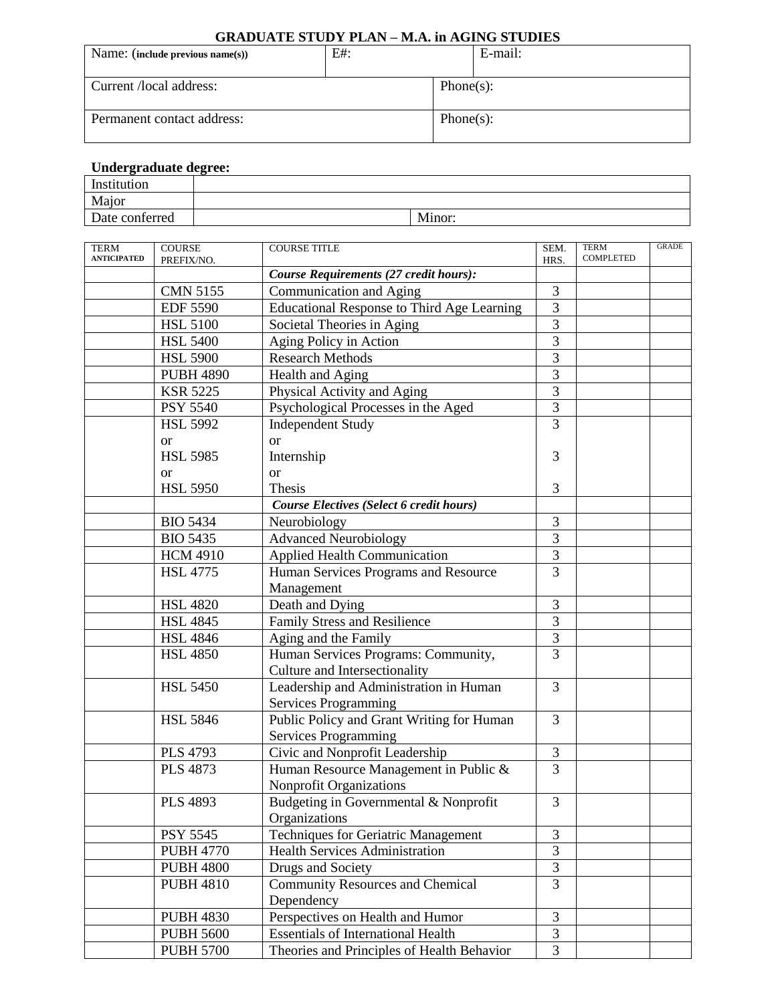## **GRADUATE STUDY PLAN – M.A. in AGING STUDIES**

| Name: (include previous name(s)) | E#: |              | E-mail: |  |
|----------------------------------|-----|--------------|---------|--|
| Current /local address:          |     | $Phone(s)$ : |         |  |
| Permanent contact address:       |     | $Phone(s)$ : |         |  |

## **Undergraduate degree:**

| Institution         |        |
|---------------------|--------|
| Major               |        |
| ∽<br>Date conferred | Minor: |

| TERM<br><b>ANTICIPATED</b> | <b>COURSE</b>    | <b>COURSE TITLE</b>                               | SEM.                    | <b>TERM</b><br><b>COMPLETED</b> | <b>GRADE</b> |
|----------------------------|------------------|---------------------------------------------------|-------------------------|---------------------------------|--------------|
|                            | PREFIX/NO.       | Course Requirements (27 credit hours):            | HRS.                    |                                 |              |
|                            | <b>CMN 5155</b>  | Communication and Aging                           | 3                       |                                 |              |
|                            | <b>EDF 5590</b>  | <b>Educational Response to Third Age Learning</b> | $\overline{3}$          |                                 |              |
|                            | <b>HSL 5100</b>  | Societal Theories in Aging                        | 3                       |                                 |              |
|                            | <b>HSL 5400</b>  | Aging Policy in Action                            | $\overline{3}$          |                                 |              |
|                            | <b>HSL 5900</b>  | <b>Research Methods</b>                           | $\overline{3}$          |                                 |              |
|                            | <b>PUBH 4890</b> | Health and Aging                                  | 3                       |                                 |              |
|                            | <b>KSR 5225</b>  | Physical Activity and Aging                       | 3                       |                                 |              |
|                            | <b>PSY 5540</b>  | Psychological Processes in the Aged               | 3                       |                                 |              |
|                            | <b>HSL 5992</b>  | <b>Independent Study</b>                          | $\overline{3}$          |                                 |              |
|                            | <sub>or</sub>    | <b>or</b>                                         |                         |                                 |              |
|                            | <b>HSL 5985</b>  | Internship                                        | 3                       |                                 |              |
|                            | <sub>or</sub>    | <b>or</b>                                         |                         |                                 |              |
|                            | <b>HSL 5950</b>  | Thesis                                            | 3                       |                                 |              |
|                            |                  | Course Electives (Select 6 credit hours)          |                         |                                 |              |
|                            | <b>BIO 5434</b>  | Neurobiology                                      | 3                       |                                 |              |
|                            | <b>BIO 5435</b>  | <b>Advanced Neurobiology</b>                      | $\overline{3}$          |                                 |              |
|                            | <b>HCM 4910</b>  | <b>Applied Health Communication</b>               | $\overline{3}$          |                                 |              |
|                            | <b>HSL 4775</b>  | Human Services Programs and Resource              | $\overline{3}$          |                                 |              |
|                            |                  | Management                                        |                         |                                 |              |
|                            | <b>HSL 4820</b>  | Death and Dying                                   | 3                       |                                 |              |
|                            | <b>HSL 4845</b>  | Family Stress and Resilience                      | 3                       |                                 |              |
|                            | <b>HSL 4846</b>  | Aging and the Family                              | $\overline{3}$          |                                 |              |
|                            | <b>HSL 4850</b>  | Human Services Programs: Community,               | $\overline{3}$          |                                 |              |
|                            |                  | Culture and Intersectionality                     |                         |                                 |              |
|                            | <b>HSL 5450</b>  | Leadership and Administration in Human            | $\overline{3}$          |                                 |              |
|                            |                  | <b>Services Programming</b>                       |                         |                                 |              |
|                            | <b>HSL 5846</b>  | Public Policy and Grant Writing for Human         | $\overline{3}$          |                                 |              |
|                            |                  | <b>Services Programming</b>                       |                         |                                 |              |
|                            | <b>PLS 4793</b>  | Civic and Nonprofit Leadership                    | $\mathfrak{Z}$          |                                 |              |
|                            | <b>PLS 4873</b>  | Human Resource Management in Public &             | $\overline{3}$          |                                 |              |
|                            |                  | Nonprofit Organizations                           |                         |                                 |              |
|                            | <b>PLS 4893</b>  | Budgeting in Governmental & Nonprofit             | 3                       |                                 |              |
|                            |                  | Organizations                                     |                         |                                 |              |
|                            | <b>PSY 5545</b>  | Techniques for Geriatric Management               | 3                       |                                 |              |
|                            | <b>PUBH 4770</b> | <b>Health Services Administration</b>             | $\overline{3}$          |                                 |              |
|                            | <b>PUBH 4800</b> | Drugs and Society                                 | $\overline{\mathbf{3}}$ |                                 |              |
|                            | <b>PUBH 4810</b> | <b>Community Resources and Chemical</b>           | $\overline{3}$          |                                 |              |
|                            |                  | Dependency                                        |                         |                                 |              |
|                            | <b>PUBH 4830</b> | Perspectives on Health and Humor                  | $\mathfrak{Z}$          |                                 |              |
|                            | <b>PUBH 5600</b> | <b>Essentials of International Health</b>         | $\overline{3}$          |                                 |              |
|                            | <b>PUBH 5700</b> | Theories and Principles of Health Behavior        | $\overline{3}$          |                                 |              |
|                            |                  |                                                   |                         |                                 |              |